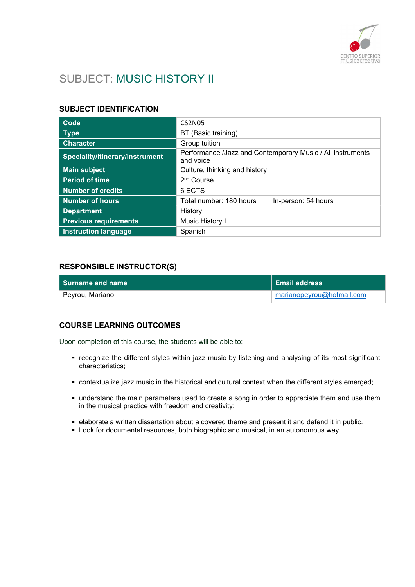

# SUBJECT: MUSIC HISTORY II

## SUBJECT IDENTIFICATION

| Code                            | <b>CS2N05</b>                                                           |                     |
|---------------------------------|-------------------------------------------------------------------------|---------------------|
| Type                            | BT (Basic training)                                                     |                     |
| <b>Character</b>                | Group tuition                                                           |                     |
| Speciality/itinerary/instrument | Performance /Jazz and Contemporary Music / All instruments<br>and voice |                     |
| <b>Main subject</b>             | Culture, thinking and history                                           |                     |
| <b>Period of time</b>           | 2 <sup>nd</sup> Course                                                  |                     |
| <b>Number of credits</b>        | 6 ECTS                                                                  |                     |
| <b>Number of hours</b>          | Total number: 180 hours                                                 | In-person: 54 hours |
| <b>Department</b>               | History                                                                 |                     |
| <b>Previous requirements</b>    | Music History I                                                         |                     |
| <b>Instruction language</b>     | Spanish                                                                 |                     |

## RESPONSIBLE INSTRUCTOR(S)

| l Surname and name | Email address             |
|--------------------|---------------------------|
| Peyrou, Mariano    | marianopeyrou@hotmail.com |

## COURSE LEARNING OUTCOMES

Upon completion of this course, the students will be able to:

- recognize the different styles within jazz music by listening and analysing of its most significant characteristics;
- contextualize jazz music in the historical and cultural context when the different styles emerged;
- understand the main parameters used to create a song in order to appreciate them and use them in the musical practice with freedom and creativity;
- elaborate a written dissertation about a covered theme and present it and defend it in public.
- **Look for documental resources, both biographic and musical, in an autonomous way.**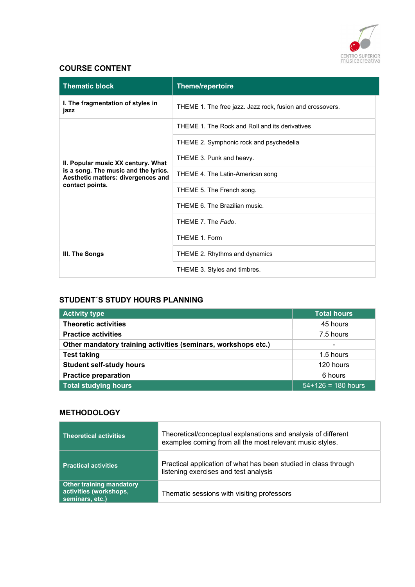

## COURSE CONTENT

| <b>Thematic block</b>                                                                                           | <b>Theme/repertoire</b>                                   |  |
|-----------------------------------------------------------------------------------------------------------------|-----------------------------------------------------------|--|
| I. The fragmentation of styles in<br>jazz                                                                       | THEME 1. The free jazz. Jazz rock, fusion and crossovers. |  |
|                                                                                                                 | THEME 1. The Rock and Roll and its derivatives            |  |
|                                                                                                                 | THEME 2. Symphonic rock and psychedelia                   |  |
| II. Popular music XX century. What                                                                              | THEME 3. Punk and heavy.                                  |  |
| is a song. The music and the lyrics.<br>Aesthetic matters: divergences and<br>contact points.<br>III. The Songs | THEME 4. The Latin-American song                          |  |
|                                                                                                                 | THEME 5. The French song.                                 |  |
|                                                                                                                 | THEME 6. The Brazilian music.                             |  |
|                                                                                                                 | THEME 7. The Fado.                                        |  |
|                                                                                                                 | THEME 1. Form                                             |  |
|                                                                                                                 | THEME 2. Rhythms and dynamics                             |  |
|                                                                                                                 | THEME 3. Styles and timbres.                              |  |

## STUDENT´S STUDY HOURS PLANNING

| <b>Activity type</b>                                           | <b>Total hours</b>       |
|----------------------------------------------------------------|--------------------------|
| <b>Theoretic activities</b>                                    | 45 hours                 |
| <b>Practice activities</b>                                     | 7.5 hours                |
| Other mandatory training activities (seminars, workshops etc.) | $\overline{\phantom{0}}$ |
| <b>Test taking</b>                                             | 1.5 hours                |
| <b>Student self-study hours</b>                                | 120 hours                |
| <b>Practice preparation</b>                                    | 6 hours                  |
| <b>Total studying hours</b>                                    | $54+126 = 180$ hours     |

## **METHODOLOGY**

| <b>Theoretical activities</b>                                                | Theoretical/conceptual explanations and analysis of different<br>examples coming from all the most relevant music styles. |
|------------------------------------------------------------------------------|---------------------------------------------------------------------------------------------------------------------------|
| <b>Practical activities</b>                                                  | Practical application of what has been studied in class through<br>listening exercises and test analysis                  |
| <b>Other training mandatory</b><br>activities (workshops,<br>seminars, etc.) | Thematic sessions with visiting professors                                                                                |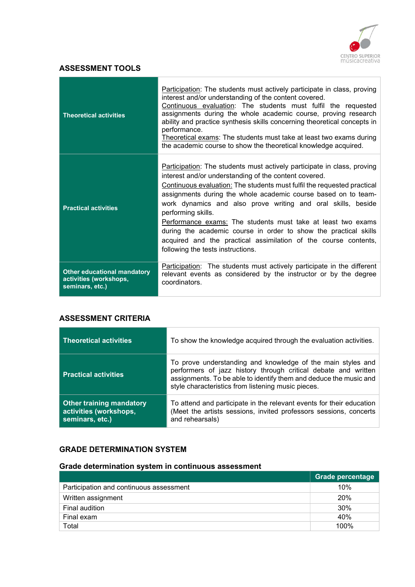

## ASSESSMENT TOOLS

| <b>Theoretical activities</b>                                                   | Participation: The students must actively participate in class, proving<br>interest and/or understanding of the content covered.<br>Continuous evaluation: The students must fulfil the requested<br>assignments during the whole academic course, proving research<br>ability and practice synthesis skills concerning theoretical concepts in<br>performance.<br>Theoretical exams: The students must take at least two exams during<br>the academic course to show the theoretical knowledge acquired.                                                                                                       |
|---------------------------------------------------------------------------------|-----------------------------------------------------------------------------------------------------------------------------------------------------------------------------------------------------------------------------------------------------------------------------------------------------------------------------------------------------------------------------------------------------------------------------------------------------------------------------------------------------------------------------------------------------------------------------------------------------------------|
| <b>Practical activities</b>                                                     | Participation: The students must actively participate in class, proving<br>interest and/or understanding of the content covered.<br>Continuous evaluation: The students must fulfil the requested practical<br>assignments during the whole academic course based on to team-<br>work dynamics and also prove writing and oral skills, beside<br>performing skills.<br>Performance exams: The students must take at least two exams<br>during the academic course in order to show the practical skills<br>acquired and the practical assimilation of the course contents,<br>following the tests instructions. |
| <b>Other educational mandatory</b><br>activities (workshops,<br>seminars, etc.) | <b>Participation:</b> The students must actively participate in the different<br>relevant events as considered by the instructor or by the degree<br>coordinators.                                                                                                                                                                                                                                                                                                                                                                                                                                              |

## ASSESSMENT CRITERIA

| <b>Theoretical activities</b>                                                | To show the knowledge acquired through the evaluation activities.                                                                                                                                                                                        |
|------------------------------------------------------------------------------|----------------------------------------------------------------------------------------------------------------------------------------------------------------------------------------------------------------------------------------------------------|
| <b>Practical activities</b>                                                  | To prove understanding and knowledge of the main styles and<br>performers of jazz history through critical debate and written<br>assignments. To be able to identify them and deduce the music and<br>style characteristics from listening music pieces. |
| <b>Other training mandatory</b><br>activities (workshops,<br>seminars, etc.) | To attend and participate in the relevant events for their education<br>(Meet the artists sessions, invited professors sessions, concerts<br>and rehearsals)                                                                                             |

## GRADE DETERMINATION SYSTEM

## Grade determination system in continuous assessment

|                                         | <b>Grade percentage</b> |
|-----------------------------------------|-------------------------|
| Participation and continuous assessment | 10%                     |
| Written assignment                      | 20%                     |
| Final audition                          | 30%                     |
| Final exam                              | 40%                     |
| Total                                   | 100%                    |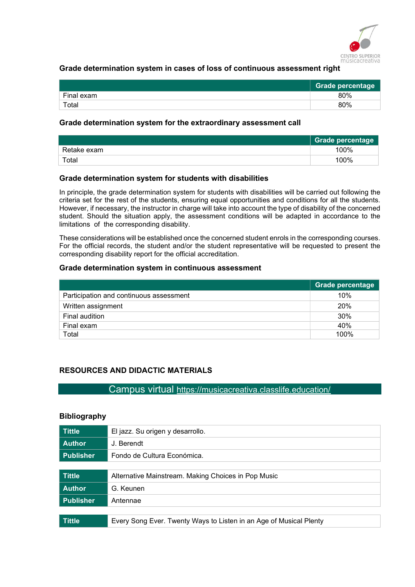

## Grade determination system in cases of loss of continuous assessment right

|            | <b>Grade percentage</b> |
|------------|-------------------------|
| Final exam | 80%                     |
| Total      | 80%                     |

#### Grade determination system for the extraordinary assessment call

|             | <b>Grade percentage</b> |
|-------------|-------------------------|
| Retake exam | 100%                    |
| Total       | 100%                    |

#### Grade determination system for students with disabilities

In principle, the grade determination system for students with disabilities will be carried out following the criteria set for the rest of the students, ensuring equal opportunities and conditions for all the students. However, if necessary, the instructor in charge will take into account the type of disability of the concerned student. Should the situation apply, the assessment conditions will be adapted in accordance to the limitations of the corresponding disability.

These considerations will be established once the concerned student enrols in the corresponding courses. For the official records, the student and/or the student representative will be requested to present the corresponding disability report for the official accreditation.

#### Grade determination system in continuous assessment

|                                         | Grade percentage |
|-----------------------------------------|------------------|
| Participation and continuous assessment | 10%              |
| Written assignment                      | <b>20%</b>       |
| Final audition                          | 30%              |
| Final exam                              | 40%              |
| Total                                   | 100%             |

## RESOURCES AND DIDACTIC MATERIALS

Campus virtual https://musicacreativa.classlife.education/

#### Bibliography

| <b>Tittle</b>    | El jazz. Su origen y desarrollo.                                   |
|------------------|--------------------------------------------------------------------|
| <b>Author</b>    | J. Berendt                                                         |
| <b>Publisher</b> | Fondo de Cultura Económica.                                        |
|                  |                                                                    |
| <b>Tittle</b>    | Alternative Mainstream. Making Choices in Pop Music                |
| <b>Author</b>    | G. Keunen                                                          |
| <b>Publisher</b> | Antennae                                                           |
|                  |                                                                    |
| <b>Tittle</b>    | Every Song Ever. Twenty Ways to Listen in an Age of Musical Plenty |